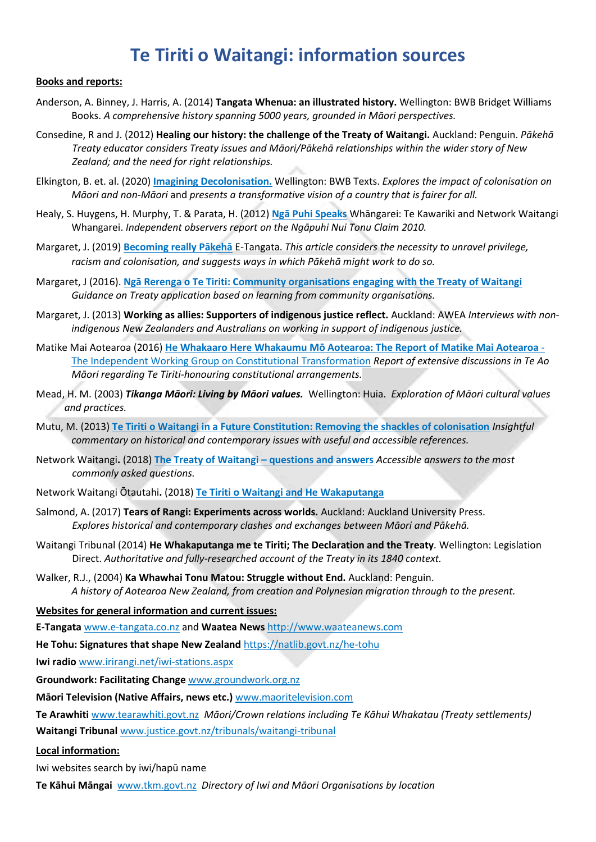## **Te Tiriti o Waitangi: information sources**

## **Books and reports:**

- Anderson, A. Binney, J. Harris, A. (2014) **Tangata Whenua: an illustrated history.** Wellington: BWB Bridget Williams Books. *A comprehensive history spanning 5000 years, grounded in Māori perspectives.*
- Consedine, R and J. (2012) **Healing our history: the challenge of the Treaty of Waitangi.** Auckland: Penguin. *Pākehā Treaty educator considers Treaty issues and Māori/Pākehā relationships within the wider story of New Zealand; and the need for right relationships.*
- Elkington, B. et. al. (2020) **[Imagining Decolonisation.](https://www.bwb.co.nz/books/imagining-decolonisation)** Wellington: BWB Texts. *Explores the impact of colonisation on Māori and non-Māori* and *presents a transformative vision of a country that is fairer for all.*
- Healy, S. Huygens, H. Murphy, T. & Parata, H. (2012) **[Ngā Puhi Speaks](https://nwwhangarei.wordpress.com/ngapuhi-speaks/)** Whāngarei: Te Kawariki and Network Waitangi Whangarei. *Independent observers report on the Ngāpuhi Nui Tonu Claim 2010.*
- Margaret, J. (2019) **[Becoming really Pākehā](https://e-tangata.co.nz/reflections/becoming-really-pakeha/)** E-Tangata. *This article considers the necessity to unravel privilege, racism and colonisation, and suggests ways in which Pākehā might work to do so.*
- Margaret, J (2016). **[Ngā Rerenga o Te Tiriti: Community organisations engaging with the Treaty of Waitangi](https://groundwork.org.nz/resources/te-tiriti-application/)** *Guidance on Treaty application based on learning from community organisations.*
- Margaret, J. (2013) **Working as allies: Supporters of indigenous justice reflect.** Auckland: AWEA *Interviews with nonindigenous New Zealanders and Australians on working in support of indigenous justice.*
- Matike Mai Aotearoa (2016) **[He Whakaaro Here Whakaumu Mō Aotearoa: The Report of](http://www.converge.org.nz/pma/MatikeMaiAotearoaReport.pdf) Matike Mai Aotearoa** [The Independent Working Group on Constitutional Transformation](http://www.converge.org.nz/pma/MatikeMaiAotearoaReport.pdf) *Report of extensive discussions in Te Ao Māori regarding Te Tiriti-honouring constitutional arrangements.*
- Mead, H. M. (2003) *Tikanga Māori: Living by Māori values.* Wellington: Huia. *Exploration of Māori cultural values and practices.*
- Mutu, M. (2013) **[Te Tiriti o Waitangi in a Future Constitution: Removing the shackles of colonisation](http://www.converge.org.nz/pma/shackles-of-colonisation.pdf)** *Insightful commentary on historical and contemporary issues with useful and accessible references.*
- Network Waitangi**.** (2018) **[The Treaty of Waitangi](https://nwwhangarei.files.wordpress.com/2018/08/qanda2018.pdf) – questions and answers** *Accessible answers to the most commonly asked questions.*
- Network Waitangi Ōtautahi**.** (2018) **[Te Tiriti o Waitangi and He Wakaputanga](https://nwo.org.nz/wp-content/uploads/2018/09/Treaty_Poster_with_Declaration_of_Independence.pdf)**
- Salmond, A. (2017) **Tears of Rangi: Experiments across worlds.** Auckland: Auckland University Press. *Explores historical and contemporary clashes and exchanges between Māori and Pākehā.*
- Waitangi Tribunal (2014) **He Whakaputanga me te Tiriti; The Declaration and the Treaty***.* Wellington: Legislation Direct. *Authoritative and fully-researched account of the Treaty in its 1840 context.*
- Walker, R.J., (2004) **Ka Whawhai Tonu Matou: Struggle without End.** Auckland: Penguin. *A history of Aotearoa New Zealand, from creation and Polynesian migration through to the present.*

**Websites for general information and current issues:**

**E-Tangata** [www.e-tangata.co.nz](http://www.e-tangata.co.nz/) and **Waatea News** [http://www.waateanews.com](http://www.waateanews.com/)

**He Tohu: Signatures that shape New Zealand** <https://natlib.govt.nz/he-tohu>

**Iwi radio** [www.irirangi.net/iwi-stations.aspx](http://www.irirangi.net/iwi-stations.aspx)

**Groundwork: Facilitating Change** [www.groundwork.org.nz](http://www.groundwork.org.nz/)

**Māori Television (Native Affairs, news etc.)** [www.maoritelevision.com](http://www.maoritelevision.com/)

**Te Arawhiti** [www.tearawhiti.govt.nz](https://tearawhiti.govt.nz/) *Māori/Crown relations including Te Kāhui Whakatau (Treaty settlements)* **Waitangi Tribunal** [www.justice.govt.nz/tribunals/waitangi-tribunal](http://www.justice.govt.nz/tribunals/waitangi-tribunal)

## **Local information:**

Iwi websites search by iwi/hapū name

**Te Kāhui Māngai** [www.tkm.govt.nz](http://www.tkm.govt.nz/) *Directory of Iwi and Māori Organisations by location*